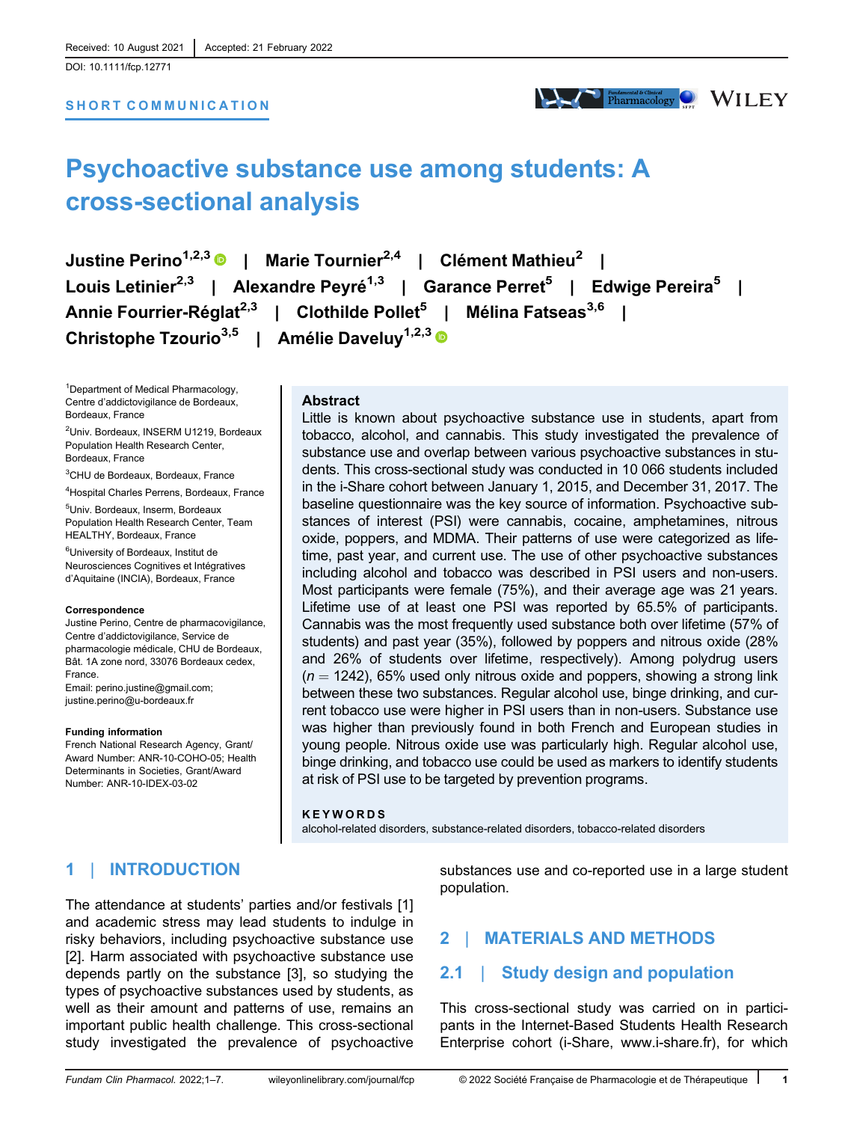[DOI: 10.1111/fcp.12771](https://doi.org/10.1111/fcp.12771)

### SHORT COMMUNICATION



# Psychoactive substance use among students: A cross-sectional analysis

Justine Perino1,2,3 | Marie Tournier2,4 | Clément Mathieu<sup>2</sup> | Louis Letinier<sup>2,3</sup> | Alexandre Peyré<sup>1,3</sup> | Garance Perret<sup>5</sup> | Edwige Pereira<sup>5</sup> | Annie Fourrier-Réglat<sup>2,3</sup> | Clothilde Pollet<sup>5</sup> | Mélina Fatseas<sup>3,6</sup> | Christophe Tzourio<sup>3,5</sup> | Amélie Daveluy<sup>1,2,3</sup>

<sup>1</sup>Department of Medical Pharmacology, Centre d'addictovigilance de Bordeaux, Bordeaux, France

<sup>2</sup>Univ. Bordeaux, INSERM U1219, Bordeaux Population Health Research Center, Bordeaux, France

<sup>3</sup>CHU de Bordeaux, Bordeaux, France

<sup>4</sup>Hospital Charles Perrens, Bordeaux, France

<sup>5</sup>Univ. Bordeaux, Inserm, Bordeaux Population Health Research Center, Team HEALTHY, Bordeaux, France

<sup>6</sup>University of Bordeaux, Institut de Neurosciences Cognitives et Intégratives d'Aquitaine (INCIA), Bordeaux, France

#### Correspondence

Justine Perino, Centre de pharmacovigilance, Centre d'addictovigilance, Service de pharmacologie médicale, CHU de Bordeaux, Bât. 1A zone nord, 33076 Bordeaux cedex, France. Email: [perino.justine@gmail.com;](mailto:perino.justine@gmail.com) [justine.perino@u-bordeaux.fr](mailto:justine.perino@u-bordeaux.fr)

#### Funding information

French National Research Agency, Grant/ Award Number: ANR-10-COHO-05; Health Determinants in Societies, Grant/Award Number: ANR-10-IDEX-03-02

### Abstract

Little is known about psychoactive substance use in students, apart from tobacco, alcohol, and cannabis. This study investigated the prevalence of substance use and overlap between various psychoactive substances in students. This cross-sectional study was conducted in 10 066 students included in the i-Share cohort between January 1, 2015, and December 31, 2017. The baseline questionnaire was the key source of information. Psychoactive substances of interest (PSI) were cannabis, cocaine, amphetamines, nitrous oxide, poppers, and MDMA. Their patterns of use were categorized as lifetime, past year, and current use. The use of other psychoactive substances including alcohol and tobacco was described in PSI users and non-users. Most participants were female (75%), and their average age was 21 years. Lifetime use of at least one PSI was reported by 65.5% of participants. Cannabis was the most frequently used substance both over lifetime (57% of students) and past year (35%), followed by poppers and nitrous oxide (28% and 26% of students over lifetime, respectively). Among polydrug users  $(n = 1242)$ , 65% used only nitrous oxide and poppers, showing a strong link between these two substances. Regular alcohol use, binge drinking, and current tobacco use were higher in PSI users than in non-users. Substance use was higher than previously found in both French and European studies in young people. Nitrous oxide use was particularly high. Regular alcohol use, binge drinking, and tobacco use could be used as markers to identify students at risk of PSI use to be targeted by prevention programs.

#### KEYWORDS

alcohol-related disorders, substance-related disorders, tobacco-related disorders

# 1 | INTRODUCTION

The attendance at students' parties and/or festivals [1] and academic stress may lead students to indulge in risky behaviors, including psychoactive substance use [2]. Harm associated with psychoactive substance use depends partly on the substance [3], so studying the types of psychoactive substances used by students, as well as their amount and patterns of use, remains an important public health challenge. This cross-sectional study investigated the prevalence of psychoactive

substances use and co-reported use in a large student population.

# 2 | MATERIALS AND METHODS

# 2.1 | Study design and population

This cross-sectional study was carried on in participants in the Internet-Based Students Health Research Enterprise cohort (i-Share, [www.i-share.fr](http://www.i-share.fr)), for which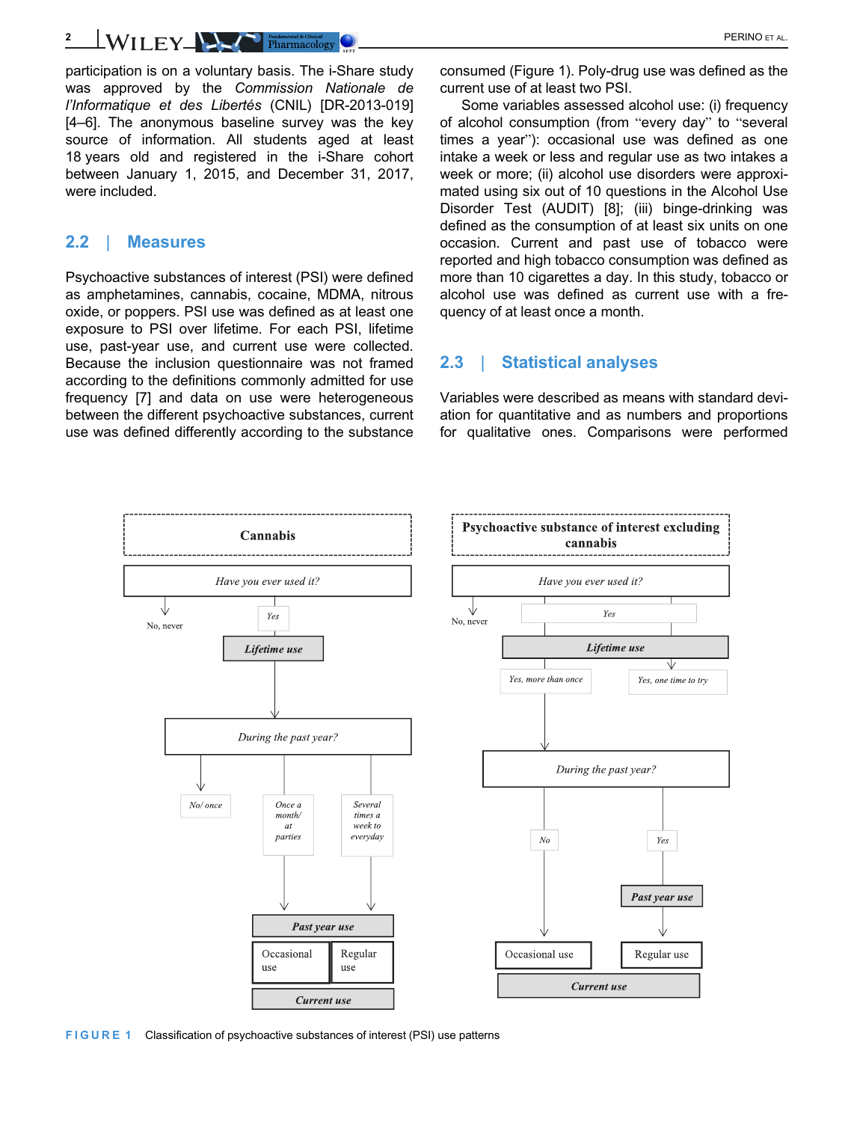$L$ WILEY PERINO ET AL.

participation is on a voluntary basis. The i-Share study was approved by the Commission Nationale de l'Informatique et des Libertés (CNIL) [DR-2013-019] [4–6]. The anonymous baseline survey was the key source of information. All students aged at least 18 years old and registered in the i-Share cohort between January 1, 2015, and December 31, 2017, were included.

# 2.2 | Measures

Psychoactive substances of interest (PSI) were defined as amphetamines, cannabis, cocaine, MDMA, nitrous oxide, or poppers. PSI use was defined as at least one exposure to PSI over lifetime. For each PSI, lifetime use, past-year use, and current use were collected. Because the inclusion questionnaire was not framed according to the definitions commonly admitted for use frequency [7] and data on use were heterogeneous between the different psychoactive substances, current use was defined differently according to the substance

consumed (Figure 1). Poly-drug use was defined as the current use of at least two PSI.

Some variables assessed alcohol use: (i) frequency of alcohol consumption (from "every day" to "several times a year"): occasional use was defined as one intake a week or less and regular use as two intakes a week or more; (ii) alcohol use disorders were approximated using six out of 10 questions in the Alcohol Use Disorder Test (AUDIT) [8]; (iii) binge-drinking was defined as the consumption of at least six units on one occasion. Current and past use of tobacco were reported and high tobacco consumption was defined as more than 10 cigarettes a day. In this study, tobacco or alcohol use was defined as current use with a frequency of at least once a month.

# 2.3 | Statistical analyses

Variables were described as means with standard deviation for quantitative and as numbers and proportions for qualitative ones. Comparisons were performed



FIGURE 1 Classification of psychoactive substances of interest (PSI) use patterns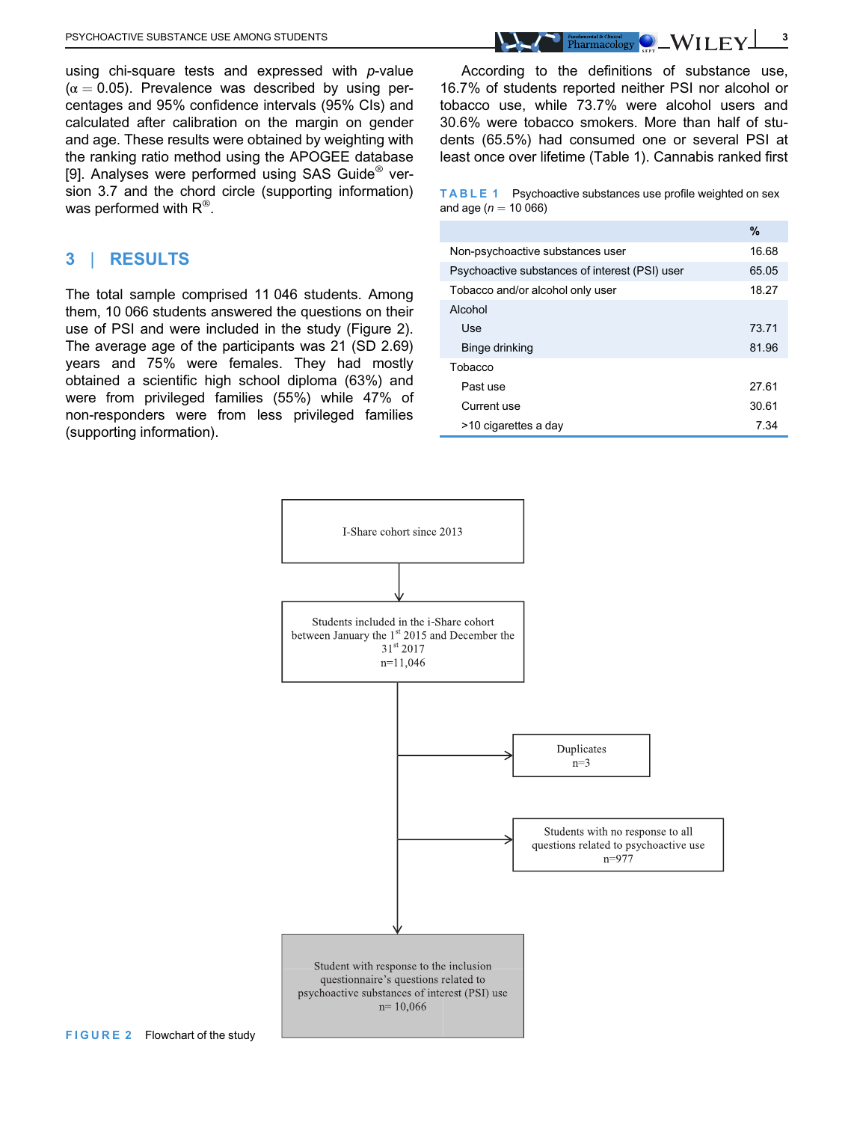using chi-square tests and expressed with  $p$ -value  $(\alpha = 0.05)$ . Prevalence was described by using percentages and 95% confidence intervals (95% CIs) and calculated after calibration on the margin on gender and age. These results were obtained by weighting with the ranking ratio method using the APOGEE database [9]. Analyses were performed using SAS Guide<sup>®</sup> version 3.7 and the chord circle (supporting information) was performed with  $\mathsf{R}^\circledast$ .

# 3 | RESULTS

The total sample comprised 11 046 students. Among them, 10 066 students answered the questions on their use of PSI and were included in the study (Figure 2). The average age of the participants was 21 (SD 2.69) years and 75% were females. They had mostly obtained a scientific high school diploma (63%) and were from privileged families (55%) while 47% of non-responders were from less privileged families (supporting information).

According to the definitions of substance use, 16.7% of students reported neither PSI nor alcohol or tobacco use, while 73.7% were alcohol users and 30.6% were tobacco smokers. More than half of students (65.5%) had consumed one or several PSI at least once over lifetime (Table 1). Cannabis ranked first

TABLE 1 Psychoactive substances use profile weighted on sex and age ( $n = 10066$ )

|                                                | %     |  |  |
|------------------------------------------------|-------|--|--|
| Non-psychoactive substances user               |       |  |  |
| Psychoactive substances of interest (PSI) user |       |  |  |
| Tobacco and/or alcohol only user               |       |  |  |
| Alcohol                                        |       |  |  |
| Use                                            | 73.71 |  |  |
| Binge drinking                                 | 81.96 |  |  |
| Tobacco                                        |       |  |  |
| Past use                                       | 27.61 |  |  |
| Current use                                    | 30.61 |  |  |
| >10 cigarettes a day                           | 7.34  |  |  |

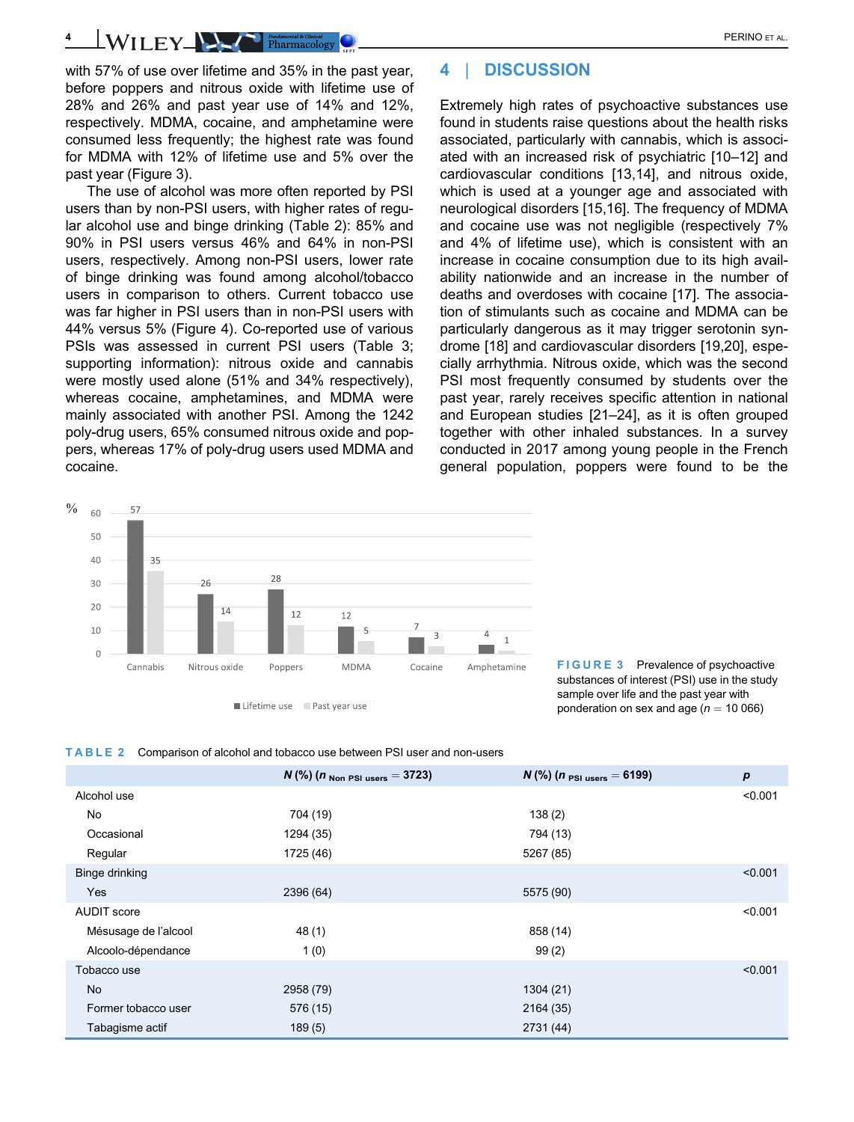4 | DISCUSSION

Extremely high rates of psychoactive substances use found in students raise questions about the health risks associated, particularly with cannabis, which is associated with an increased risk of psychiatric [10–12] and cardiovascular conditions [13,14], and nitrous oxide, which is used at a younger age and associated with neurological disorders [15,16]. The frequency of MDMA and cocaine use was not negligible (respectively 7% and 4% of lifetime use), which is consistent with an increase in cocaine consumption due to its high availability nationwide and an increase in the number of deaths and overdoses with cocaine [17]. The association of stimulants such as cocaine and MDMA can be particularly dangerous as it may trigger serotonin syndrome [18] and cardiovascular disorders [19,20], especially arrhythmia. Nitrous oxide, which was the second PSI most frequently consumed by students over the past year, rarely receives specific attention in national and European studies [21–24], as it is often grouped together with other inhaled substances. In a survey conducted in 2017 among young people in the French general population, poppers were found to be the

4 WILEY PERINO ET AL.

with 57% of use over lifetime and 35% in the past year, before poppers and nitrous oxide with lifetime use of 28% and 26% and past year use of 14% and 12%, respectively. MDMA, cocaine, and amphetamine were consumed less frequently; the highest rate was found for MDMA with 12% of lifetime use and 5% over the past year (Figure 3).

The use of alcohol was more often reported by PSI users than by non-PSI users, with higher rates of regular alcohol use and binge drinking (Table 2): 85% and 90% in PSI users versus 46% and 64% in non-PSI users, respectively. Among non-PSI users, lower rate of binge drinking was found among alcohol/tobacco users in comparison to others. Current tobacco use was far higher in PSI users than in non-PSI users with 44% versus 5% (Figure 4). Co-reported use of various PSIs was assessed in current PSI users (Table 3; supporting information): nitrous oxide and cannabis were mostly used alone (51% and 34% respectively), whereas cocaine, amphetamines, and MDMA were mainly associated with another PSI. Among the 1242 poly-drug users, 65% consumed nitrous oxide and poppers, whereas 17% of poly-drug users used MDMA and cocaine.

 $\frac{0}{0}$ 

60

57



FIGURE 3 Prevalence of psychoactive substances of interest (PSI) use in the study sample over life and the past year with ponderation on sex and age ( $n = 10066$ )

#### TABLE 2 Comparison of alcohol and tobacco use between PSI user and non-users

|                      | $N$ (%) ( <i>n</i> Non PSI users = 3723) | $N$ (%) ( <i>n</i> $_{PSI\;uses} = 6199$ ) | p       |
|----------------------|------------------------------------------|--------------------------------------------|---------|
| Alcohol use          |                                          |                                            | < 0.001 |
| No                   | 704 (19)                                 | 138(2)                                     |         |
| Occasional           | 1294 (35)                                | 794 (13)                                   |         |
| Regular              | 1725 (46)                                | 5267 (85)                                  |         |
| Binge drinking       |                                          |                                            | < 0.001 |
| Yes                  | 2396 (64)                                | 5575 (90)                                  |         |
| <b>AUDIT</b> score   |                                          |                                            | < 0.001 |
| Mésusage de l'alcool | 48 (1)                                   | 858 (14)                                   |         |
| Alcoolo-dépendance   | 1(0)                                     | 99(2)                                      |         |
| Tobacco use          |                                          |                                            | < 0.001 |
| <b>No</b>            | 2958 (79)                                | 1304 (21)                                  |         |
| Former tobacco user  | 576 (15)                                 | 2164 (35)                                  |         |
| Tabagisme actif      | 189(5)                                   | 2731 (44)                                  |         |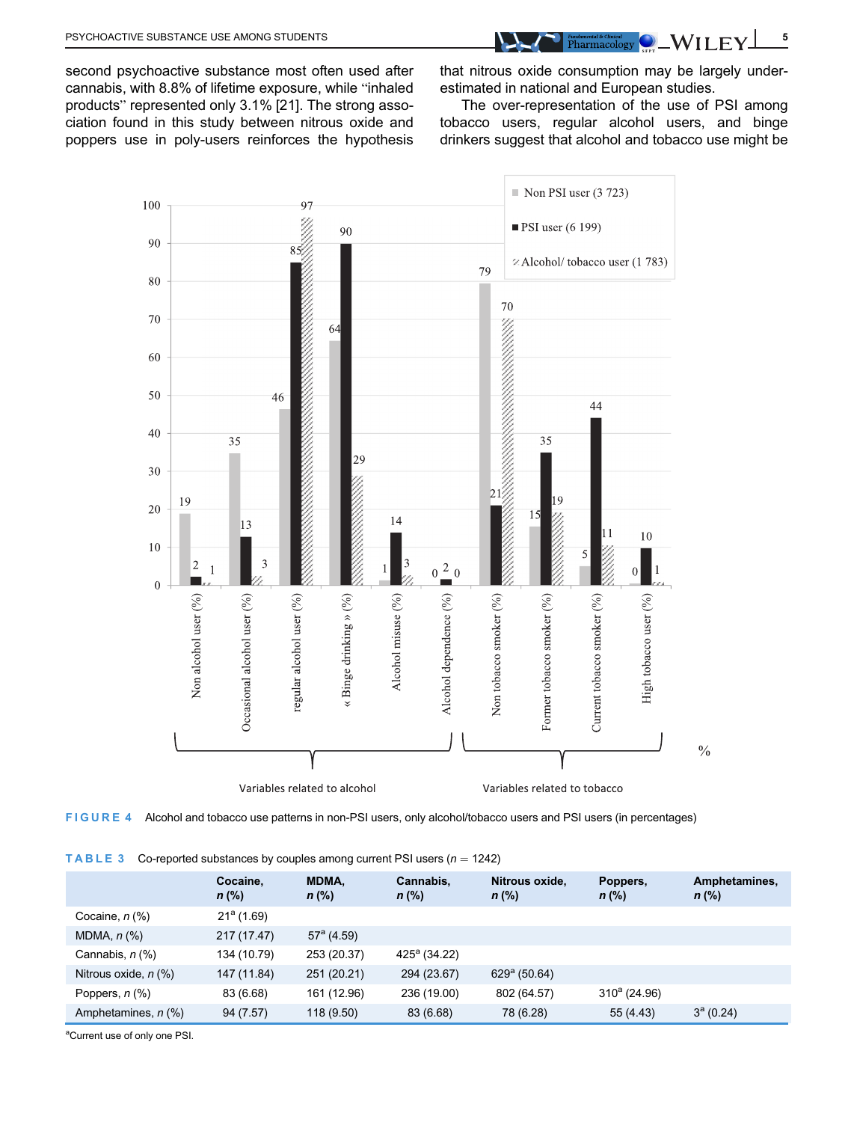PSYCHOACTIVE SUBSTANCE USE AMONG STUDENTS **1.2 AMOUND A CONSUMING CONSUMING CONSUMING CONSUMING CONSUMING CONSUMING CONSUMING CONSUMING CONSUMING CONSUMING CONSUMING CONSUMING CONSUMING CONSUMING CONSUMING CONSUMING CONSUM** 

second psychoactive substance most often used after cannabis, with 8.8% of lifetime exposure, while "inhaled products" represented only 3.1% [21]. The strong association found in this study between nitrous oxide and poppers use in poly-users reinforces the hypothesis

that nitrous oxide consumption may be largely underestimated in national and European studies.

The over-representation of the use of PSI among tobacco users, regular alcohol users, and binge drinkers suggest that alcohol and tobacco use might be



FIGURE 4 Alcohol and tobacco use patterns in non-PSI users, only alcohol/tobacco users and PSI users (in percentages)

|  | <b>TABLE 3</b> Co-reported substances by couples among current PSI users $(n = 1242)$ |
|--|---------------------------------------------------------------------------------------|
|--|---------------------------------------------------------------------------------------|

|                                          | Cocaine,<br>$n$ (%) | <b>MDMA.</b><br>$n$ (%) | Cannabis.<br>$n$ (%)  | Nitrous oxide.<br>$n$ (%) | Poppers,<br>$n$ (%) | Amphetamines,<br>$n$ (%) |
|------------------------------------------|---------------------|-------------------------|-----------------------|---------------------------|---------------------|--------------------------|
| Cocaine, $n$ (%)                         | $21^a(1.69)$        |                         |                       |                           |                     |                          |
| MDMA, $n$ $%$                            | 217 (17.47)         | $57^{\circ}$ (4.59)     |                       |                           |                     |                          |
| Cannabis, $n$ $\left(\frac{9}{6}\right)$ | 134 (10.79)         | 253 (20.37)             | $425^{\circ}$ (34.22) |                           |                     |                          |
| Nitrous oxide, $n$ (%)                   | 147 (11.84)         | 251 (20.21)             | 294 (23.67)           | $629^{\circ}$ (50.64)     |                     |                          |
| Poppers, $n$ $(\%)$                      | 83 (6.68)           | 161 (12.96)             | 236 (19.00)           | 802 (64.57)               | $310^a$ (24.96)     |                          |
| Amphetamines, n (%)                      | 94 (7.57)           | 118 (9.50)              | 83 (6.68)             | 78 (6.28)                 | 55 (4.43)           | $3^a(0.24)$              |

aCurrent use of only one PSI.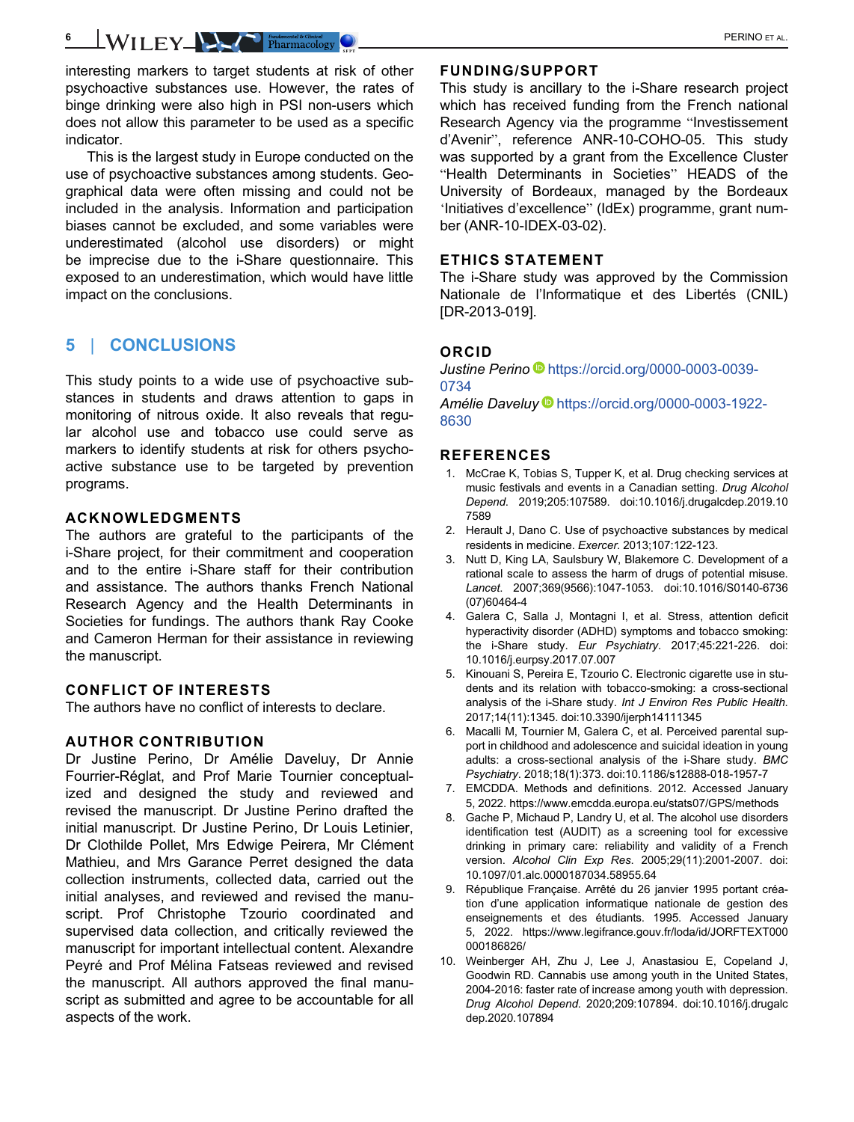interesting markers to target students at risk of other psychoactive substances use. However, the rates of binge drinking were also high in PSI non-users which does not allow this parameter to be used as a specific indicator.

This is the largest study in Europe conducted on the use of psychoactive substances among students. Geographical data were often missing and could not be included in the analysis. Information and participation biases cannot be excluded, and some variables were underestimated (alcohol use disorders) or might be imprecise due to the i-Share questionnaire. This exposed to an underestimation, which would have little impact on the conclusions.

# 5 | CONCLUSIONS

This study points to a wide use of psychoactive substances in students and draws attention to gaps in monitoring of nitrous oxide. It also reveals that regular alcohol use and tobacco use could serve as markers to identify students at risk for others psychoactive substance use to be targeted by prevention programs.

# ACKNOWLEDGMENTS

The authors are grateful to the participants of the i-Share project, for their commitment and cooperation and to the entire i-Share staff for their contribution and assistance. The authors thanks French National Research Agency and the Health Determinants in Societies for fundings. The authors thank Ray Cooke and Cameron Herman for their assistance in reviewing the manuscript.

# CONFLICT OF INTERESTS

The authors have no conflict of interests to declare.

## AUTHOR CONTRIBUTION

Dr Justine Perino, Dr Amélie Daveluy, Dr Annie Fourrier-Réglat, and Prof Marie Tournier conceptualized and designed the study and reviewed and revised the manuscript. Dr Justine Perino drafted the initial manuscript. Dr Justine Perino, Dr Louis Letinier, Dr Clothilde Pollet, Mrs Edwige Peirera, Mr Clément Mathieu, and Mrs Garance Perret designed the data collection instruments, collected data, carried out the initial analyses, and reviewed and revised the manuscript. Prof Christophe Tzourio coordinated and supervised data collection, and critically reviewed the manuscript for important intellectual content. Alexandre Peyré and Prof Mélina Fatseas reviewed and revised the manuscript. All authors approved the final manuscript as submitted and agree to be accountable for all aspects of the work.

# FUNDING/SUPPORT

This study is ancillary to the i-Share research project which has received funding from the French national Research Agency via the programme "Investissement d'Avenir", reference ANR-10-COHO-05. This study was supported by a grant from the Excellence Cluster "Health Determinants in Societies" HEADS of the University of Bordeaux, managed by the Bordeaux 'Initiatives d'excellence" (IdEx) programme, grant number (ANR-10-IDEX-03-02).

## ETHICS STATEMENT

The i-Share study was approved by the Commission Nationale de l'Informatique et des Libertés (CNIL) [DR-2013-019].

## ORCID

Justine Perino D[https://orcid.org/0000-0003-0039-](https://orcid.org/0000-0003-0039-0734) [0734](https://orcid.org/0000-0003-0039-0734)

Amélie Daveluy D[https://orcid.org/0000-0003-1922-](https://orcid.org/0000-0003-1922-8630) [8630](https://orcid.org/0000-0003-1922-8630)

## REFERENCES

- 1. McCrae K, Tobias S, Tupper K, et al. Drug checking services at music festivals and events in a Canadian setting. Drug Alcohol Depend. 2019;205:107589. doi[:10.1016/j.drugalcdep.2019.10](info:doi/10.1016/j.drugalcdep.2019.107589) [7589](info:doi/10.1016/j.drugalcdep.2019.107589)
- 2. Herault J, Dano C. Use of psychoactive substances by medical residents in medicine. Exercer. 2013;107:122-123.
- 3. Nutt D, King LA, Saulsbury W, Blakemore C. Development of a rational scale to assess the harm of drugs of potential misuse. Lancet. 2007;369(9566):1047-1053. doi:[10.1016/S0140-6736](info:doi/10.1016/S0140-6736(07)60464-4) [\(07\)60464-4](info:doi/10.1016/S0140-6736(07)60464-4)
- 4. Galera C, Salla J, Montagni I, et al. Stress, attention deficit hyperactivity disorder (ADHD) symptoms and tobacco smoking: the i-Share study. Eur Psychiatry. 2017;45:221-226. doi: [10.1016/j.eurpsy.2017.07.007](info:doi/10.1016/j.eurpsy.2017.07.007)
- 5. Kinouani S, Pereira E, Tzourio C. Electronic cigarette use in students and its relation with tobacco-smoking: a cross-sectional analysis of the i-Share study. Int J Environ Res Public Health. 2017;14(11):1345. doi[:10.3390/ijerph14111345](info:doi/10.3390/ijerph14111345)
- 6. Macalli M, Tournier M, Galera C, et al. Perceived parental support in childhood and adolescence and suicidal ideation in young adults: a cross-sectional analysis of the i-Share study. BMC Psychiatry. 2018;18(1):373. doi[:10.1186/s12888-018-1957-7](info:doi/10.1186/s12888-018-1957-7)
- 7. EMCDDA. Methods and definitions. 2012. Accessed January 5, 2022.<https://www.emcdda.europa.eu/stats07/GPS/methods>
- 8. Gache P, Michaud P, Landry U, et al. The alcohol use disorders identification test (AUDIT) as a screening tool for excessive drinking in primary care: reliability and validity of a French version. Alcohol Clin Exp Res. 2005;29(11):2001-2007. doi: [10.1097/01.alc.0000187034.58955.64](info:doi/10.1097/01.alc.0000187034.58955.64)
- 9. République Française. Arrêté du 26 janvier 1995 portant création d'une application informatique nationale de gestion des enseignements et des étudiants. 1995. Accessed January 5, 2022. [https://www.legifrance.gouv.fr/loda/id/JORFTEXT000](https://www.legifrance.gouv.fr/loda/id/JORFTEXT000000186826/) [000186826/](https://www.legifrance.gouv.fr/loda/id/JORFTEXT000000186826/)
- 10. Weinberger AH, Zhu J, Lee J, Anastasiou E, Copeland J, Goodwin RD. Cannabis use among youth in the United States, 2004-2016: faster rate of increase among youth with depression. Drug Alcohol Depend. 2020;209:107894. doi[:10.1016/j.drugalc](info:doi/10.1016/j.drugalcdep.2020.107894) [dep.2020.107894](info:doi/10.1016/j.drugalcdep.2020.107894)